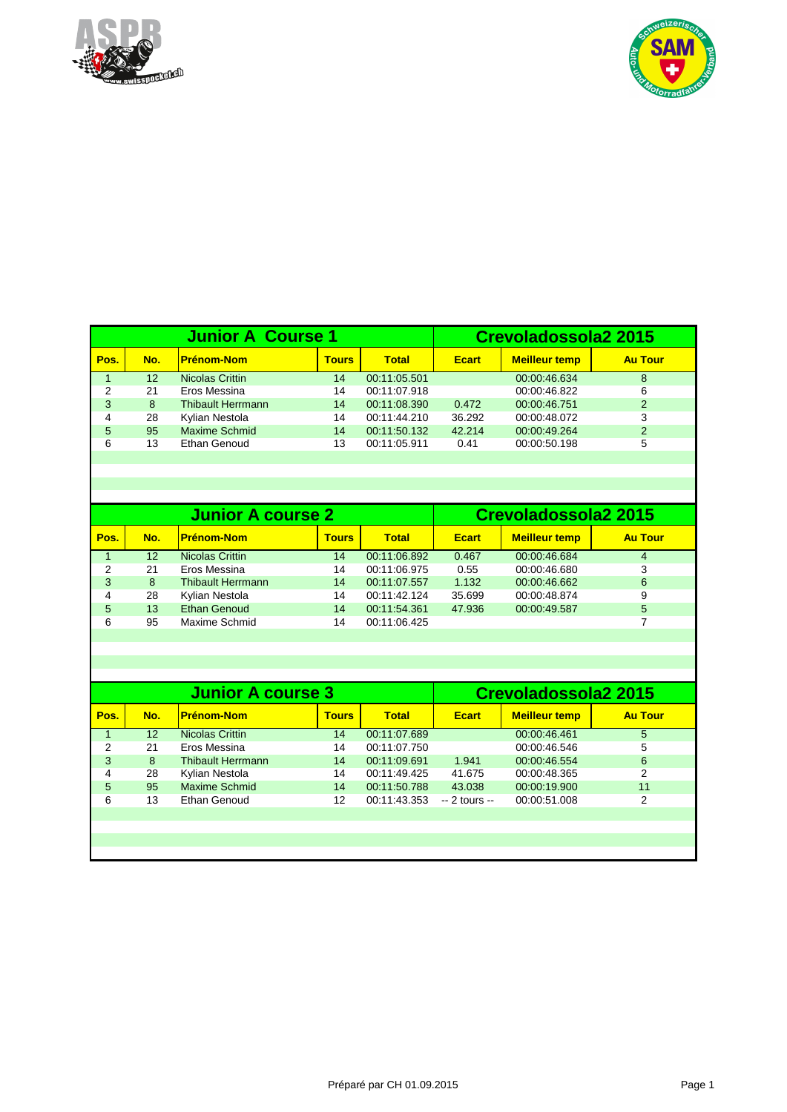



|      |     | <b>Junior A Course 1</b> | Crevoladossola2 2015 |              |              |                      |                |
|------|-----|--------------------------|----------------------|--------------|--------------|----------------------|----------------|
| Pos. | No. | <b>Prénom-Nom</b>        | <b>Tours</b>         | <b>Total</b> | <b>Ecart</b> | <b>Meilleur temp</b> | <b>Au Tour</b> |
|      | 12  | Nicolas Crittin          | 14                   | 00:11:05.501 |              | 00:00:46.634         | 8              |
| 2    | 21  | Eros Messina             | 14                   | 00:11:07.918 |              | 00:00:46.822         | 6              |
| 3    | 8   | <b>Thibault Herrmann</b> | 14                   | 00:11:08.390 | 0.472        | 00:00:46.751         | 2              |
|      | 28  | Kylian Nestola           | 14                   | 00:11:44.210 | 36.292       | 00:00:48.072         | 3              |
| 5    | 95  | <b>Maxime Schmid</b>     | 14                   | 00:11:50.132 | 42.214       | 00:00:49.264         | $\overline{2}$ |
| 6    | 13  | Ethan Genoud             | 13                   | 00:11:05.911 | 0.41         | 00:00:50.198         | 5              |
|      |     |                          |                      |              |              |                      |                |

|      |     | <b>Junior A course 2</b> | Crevoladossola2 2015 |              |              |                      |                |
|------|-----|--------------------------|----------------------|--------------|--------------|----------------------|----------------|
| Pos. | No. | <u> Prénom-Nom</u>       | <b>Tours</b>         | Total        | <b>Ecart</b> | <b>Meilleur temp</b> | <b>Au Tour</b> |
|      | 12  | Nicolas Crittin          | 14                   | 00:11:06.892 | 0.467        | 00:00:46.684         | 4              |
| 2    | 21  | Eros Messina             | 14                   | 00:11:06.975 | 0.55         | 00:00:46.680         | 3              |
| 3    | 8   | <b>Thibault Herrmann</b> | 14                   | 00:11:07.557 | 1.132        | 00:00:46.662         | 6              |
| 4    | 28  | Kylian Nestola           | 14                   | 00:11:42.124 | 35.699       | 00:00:48.874         | 9              |
| 5    | 13  | <b>Ethan Genoud</b>      | 14                   | 00:11:54.361 | 47.936       | 00:00:49.587         | 5              |
| 6    | 95  | Maxime Schmid            | 14                   | 00:11:06.425 |              |                      |                |
|      |     |                          |                      |              |              |                      |                |

|                |                 | <b>Junior A course 3</b> | Crevoladossola2 2015 |              |                |                      |                |
|----------------|-----------------|--------------------------|----------------------|--------------|----------------|----------------------|----------------|
| Pos.           | No.             | <b>Prénom-Nom</b>        | <b>Tours</b>         | <b>Total</b> | <b>Ecart</b>   | <b>Meilleur temp</b> | <b>Au Tour</b> |
|                | 12 <sup>2</sup> | <b>Nicolas Crittin</b>   | 14                   | 00:11:07.689 |                | 00:00:46.461         | 5              |
| $\overline{2}$ | 21              | Eros Messina             | 14                   | 00:11:07.750 |                | 00:00:46.546         | 5              |
| 3              | 8               | <b>Thibault Herrmann</b> | 14                   | 00:11:09.691 | 1.941          | 00:00:46.554         | 6              |
| 4              | 28              | Kylian Nestola           | 14                   | 00:11:49.425 | 41.675         | 00:00:48.365         | $\mathcal{P}$  |
| 5              | 95              | Maxime Schmid            | 14                   | 00:11:50.788 | 43.038         | 00:00:19.900         | 11             |
| 6              | 13              | Ethan Genoud             | $12 \overline{ }$    | 00:11:43.353 | $-2$ tours $-$ | 00:00:51.008         | 2              |
|                |                 |                          |                      |              |                |                      |                |
|                |                 |                          |                      |              |                |                      |                |
|                |                 |                          |                      |              |                |                      |                |
|                |                 |                          |                      |              |                |                      |                |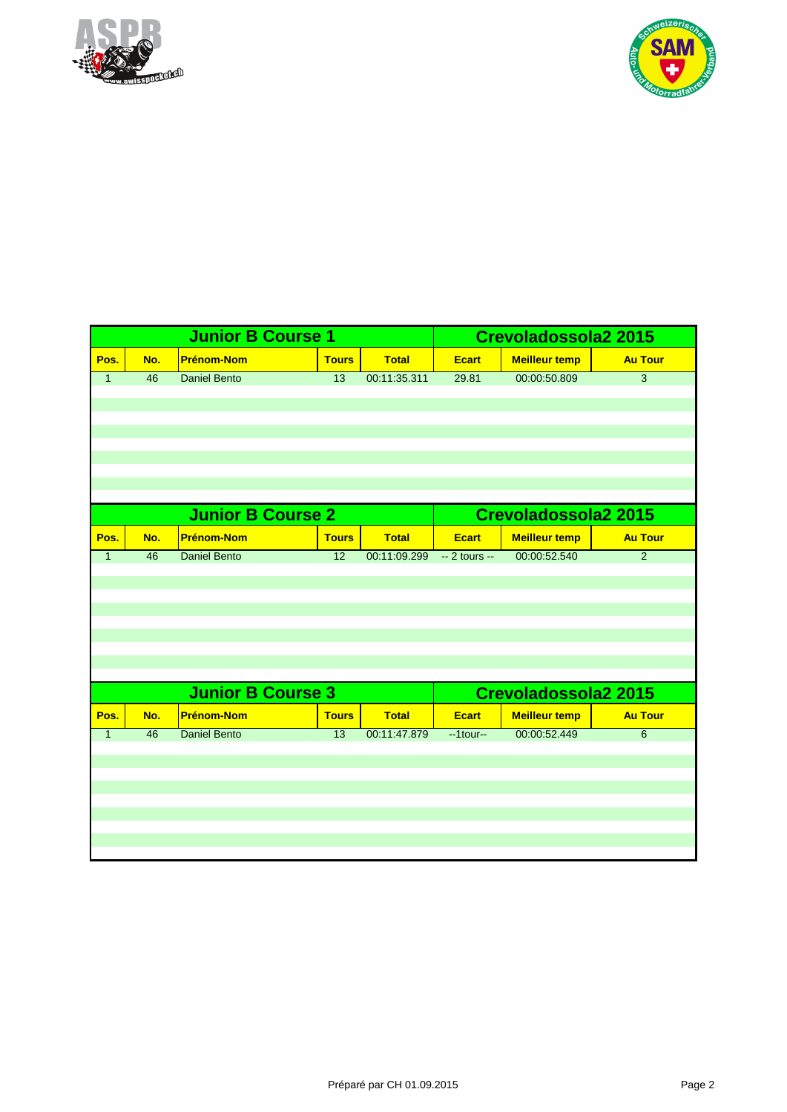



|              |                 | <b>Junior B Course 1</b> |                 |              |                | <b>Crevoladossola2 2015</b> |                |
|--------------|-----------------|--------------------------|-----------------|--------------|----------------|-----------------------------|----------------|
| Pos.         | No.             | <b>Prénom-Nom</b>        | <b>Tours</b>    | <b>Total</b> | <b>Ecart</b>   | <b>Meilleur temp</b>        | <b>Au Tour</b> |
| $\mathbf{1}$ | 46              | <b>Daniel Bento</b>      | 13              | 00:11:35.311 | 29.81          | 00:00:50.809                | 3              |
|              |                 |                          |                 |              |                |                             |                |
|              |                 |                          |                 |              |                |                             |                |
|              |                 |                          |                 |              |                |                             |                |
|              |                 |                          |                 |              |                |                             |                |
|              |                 |                          |                 |              |                |                             |                |
|              |                 |                          |                 |              |                |                             |                |
|              |                 |                          |                 |              |                |                             |                |
|              |                 | <b>Junior B Course 2</b> |                 |              |                | Crevoladossola2 2015        |                |
| Pos.         | No.             | <b>Prénom-Nom</b>        | <b>Tours</b>    | <b>Total</b> | <b>Ecart</b>   | <b>Meilleur temp</b>        | <b>Au Tour</b> |
| $\mathbf{1}$ | $\overline{46}$ | <b>Daniel Bento</b>      | $\overline{12}$ | 00:11:09.299 | $-2$ tours $-$ | 00:00:52.540                | $\overline{2}$ |
|              |                 |                          |                 |              |                |                             |                |
|              |                 |                          |                 |              |                |                             |                |
|              |                 |                          |                 |              |                |                             |                |
|              |                 |                          |                 |              |                |                             |                |
|              |                 |                          |                 |              |                |                             |                |
|              |                 |                          |                 |              |                |                             |                |
|              |                 | <b>Junior B Course 3</b> |                 |              |                | <b>Crevoladossola2 2015</b> |                |
| Pos.         | No.             | <b>Prénom-Nom</b>        | <b>Tours</b>    | <b>Total</b> | <b>Ecart</b>   | <b>Meilleur temp</b>        | <b>Au Tour</b> |
| $\mathbf{1}$ | 46              | <b>Daniel Bento</b>      | $\overline{13}$ | 00:11:47.879 | $-1$ tour $-$  | 00:00:52.449                | $\overline{6}$ |
|              |                 |                          |                 |              |                |                             |                |
|              |                 |                          |                 |              |                |                             |                |
|              |                 |                          |                 |              |                |                             |                |
|              |                 |                          |                 |              |                |                             |                |
|              |                 |                          |                 |              |                |                             |                |
|              |                 |                          |                 |              |                |                             |                |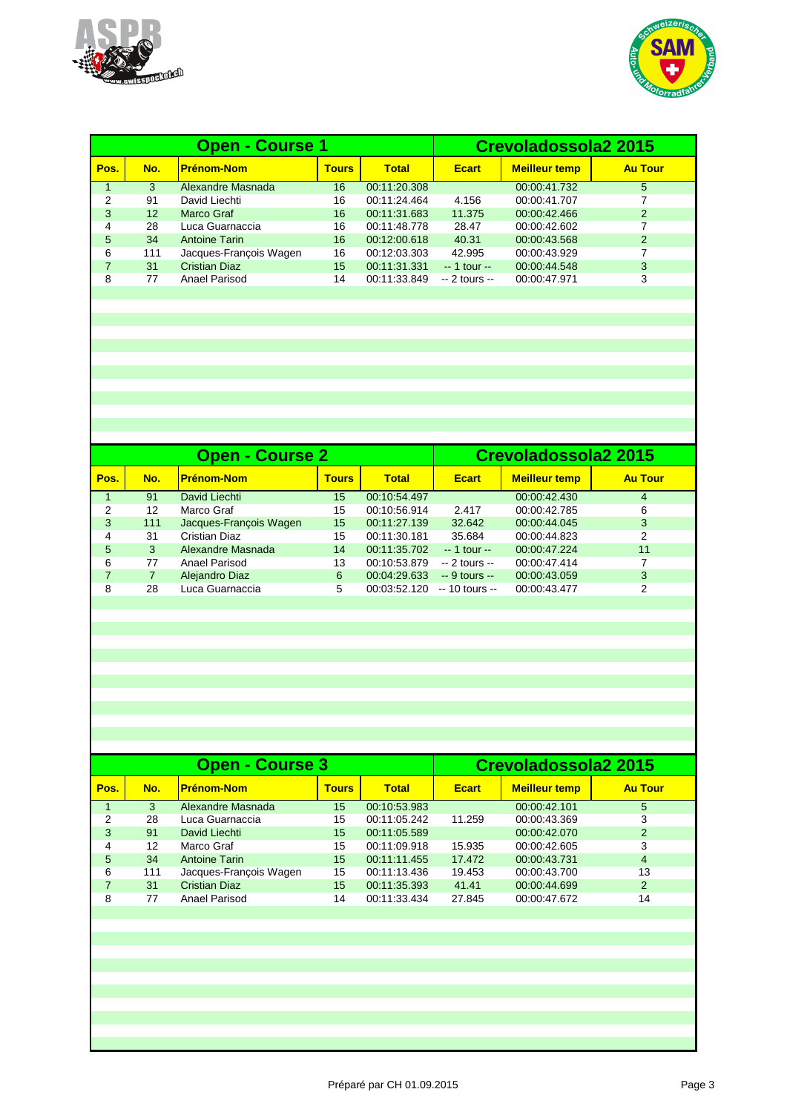



|      |     | <b>Open - Course 1</b> | Crevoladossola2 2015 |              |                |                      |                |
|------|-----|------------------------|----------------------|--------------|----------------|----------------------|----------------|
| Pos. | No. | <u> Prénom-Nom</u>     | <b>Tours</b>         | <b>Total</b> | <b>Ecart</b>   | <b>Meilleur temp</b> | <b>Au Tour</b> |
|      | 3   | Alexandre Masnada      | 16                   | 00:11:20.308 |                | 00:00:41.732         | 5              |
| 2    | 91  | David Liechti          | 16                   | 00:11:24.464 | 4.156          | 00:00:41.707         | 7              |
| 3    | 12  | Marco Graf             | 16                   | 00:11:31.683 | 11.375         | 00:00:42.466         | $\overline{2}$ |
| 4    | 28  | Luca Guarnaccia        | 16                   | 00:11:48.778 | 28.47          | 00:00:42.602         |                |
| 5    | 34  | <b>Antoine Tarin</b>   | 16                   | 00:12:00.618 | 40.31          | 00:00:43.568         | 2              |
| 6    | 111 | Jacques-François Wagen | 16                   | 00:12:03.303 | 42.995         | 00:00:43.929         | 7              |
|      | 31  | <b>Cristian Diaz</b>   | 15                   | 00:11:31.331 | $-1$ tour $-$  | 00:00:44.548         | 3              |
| 8    | 77  | Anael Parisod          | 14                   | 00:11:33.849 | $-2$ tours $-$ | 00:00:47.971         | 3              |
|      |     |                        |                      |              |                |                      |                |

|      |     | <b>Open - Course 2</b> | Crevoladossola2 2015 |              |                 |                      |                |
|------|-----|------------------------|----------------------|--------------|-----------------|----------------------|----------------|
| Pos. | No. | <u> Prénom-Nom</u>     | <b>Tours</b>         | <b>Total</b> | <b>Ecart</b>    | <b>Meilleur temp</b> | <b>Au Tour</b> |
|      | 91  | David Liechti          | 15                   | 00:10:54.497 |                 | 00:00:42.430         | 4              |
| 2    | 12  | Marco Graf             | 15                   | 00:10:56.914 | 2.417           | 00:00:42.785         | 6              |
| 3    | 111 | Jacques-Francois Wagen | 15                   | 00:11:27.139 | 32.642          | 00:00:44.045         | 3              |
| 4    | 31  | Cristian Diaz          | 15                   | 00:11:30.181 | 35.684          | 00:00:44.823         | 2              |
| 5.   | 3   | Alexandre Masnada      | 14                   | 00:11:35.702 | $-1$ tour $-$   | 00:00:47.224         | 11             |
| 6    | 77  | Anael Parisod          | 13                   | 00:10:53.879 | $-2$ tours $-$  | 00:00:47.414         |                |
|      |     | Alejandro Diaz         | 6                    | 00:04:29.633 | $-9$ tours $-$  | 00:00:43.059         | 3              |
| 8    | 28  | Luca Guarnaccia        | 5                    | 00:03:52.120 | $-10$ tours $-$ | 00:00:43.477         | 2              |

|      |     | <b>Open - Course 3</b> | Crevoladossola2 2015 |              |              |                      |                |
|------|-----|------------------------|----------------------|--------------|--------------|----------------------|----------------|
| Pos. | No. | <b>Prénom-Nom</b>      | <b>Tours</b>         | Total        | <b>Ecart</b> | <b>Meilleur temp</b> | <b>Au Tour</b> |
|      | 3   | Alexandre Masnada      | 15                   | 00:10:53.983 |              | 00:00:42.101         | 5              |
| 2    | 28  | Luca Guarnaccia        | 15                   | 00:11:05.242 | 11.259       | 00:00:43.369         | 3              |
| 3    | 91  | David Liechti          | 15                   | 00:11:05.589 |              | 00:00:42.070         | 2              |
| 4    | 12  | Marco Graf             | 15                   | 00:11:09.918 | 15.935       | 00:00:42.605         | 3              |
| 5.   | 34  | <b>Antoine Tarin</b>   | 15                   | 00:11:11.455 | 17.472       | 00:00:43.731         | 4              |
| 6    | 111 | Jacques-François Wagen | 15                   | 00:11:13.436 | 19.453       | 00:00:43.700         | 13             |
|      | 31  | <b>Cristian Diaz</b>   | 15                   | 00:11:35.393 | 41.41        | 00:00:44.699         | $\overline{2}$ |
| 8    | 77  | Anael Parisod          | 14                   | 00:11:33.434 | 27.845       | 00:00:47.672         | 14             |
|      |     |                        |                      |              |              |                      |                |